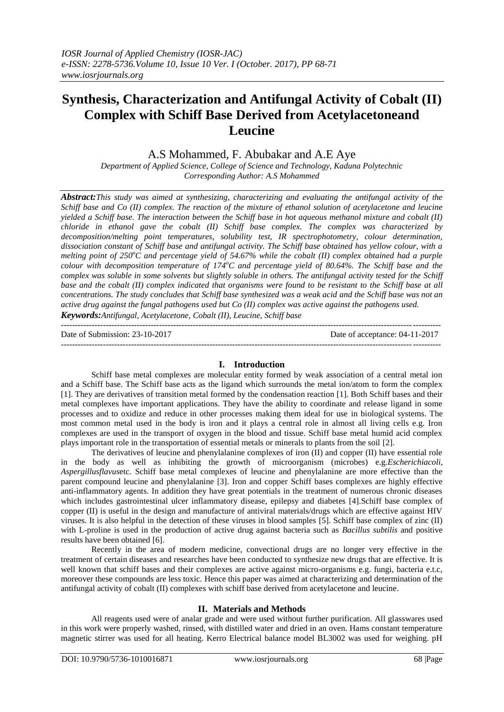# **Synthesis, Characterization and Antifungal Activity of Cobalt (II) Complex with Schiff Base Derived from Acetylacetoneand Leucine**

A.S Mohammed, F. Abubakar and A.E Aye

*Department of Applied Science, College of Science and Technology, Kaduna Polytechnic Corresponding Author: A.S Mohammed*

*Abstract:This study was aimed at synthesizing, characterizing and evaluating the antifungal activity of the Schiff base and Co (II) complex. The reaction of the mixture of ethanol solution of acetylacetone and leucine yielded a Schiff base. The interaction between the Schiff base in hot aqueous methanol mixture and cobalt (II) chloride in ethanol gave the cobalt (II) Schiff base complex. The complex was characterized by decomposition/melting point temperatures, solubility test, IR spectrophotometry, colour determination, dissociation constant of Schiff base and antifungal activity. The Schiff base obtained has yellow colour, with a melting point of 250<sup>o</sup>C and percentage yield of 54.67% while the cobalt (II) complex obtained had a purple colour with decomposition temperature of 174<sup>o</sup>C and percentage yield of 80.64%. The Schiff base and the complex was soluble in some solvents but slightly soluble in others. The antifungal activity tested for the Schiff base and the cobalt (II) complex indicated that organisms were found to be resistant to the Schiff base at all concentrations. The study concludes that Schiff base synthesized was a weak acid and the Schiff base was not an active drug against the fungal pathogens used but Co (II) complex was active against the pathogens used. Keywords:Antifungal, Acetylacetone, Cobalt (II), Leucine, Schiff base*

Date of Submission: 23-10-2017 Date of acceptance: 04-11-2017 ---------------------------------------------------------------------------------------------------------------------------------------

## **I. Introduction**

---------------------------------------------------------------------------------------------------------------------------------------

Schiff base metal complexes are molecular entity formed by weak association of a central metal ion and a Schiff base. The Schiff base acts as the ligand which surrounds the metal ion/atom to form the complex [1]. They are derivatives of transition metal formed by the condensation reaction [1]. Both Schiff bases and their metal complexes have important applications. They have the ability to coordinate and release ligand in some processes and to oxidize and reduce in other processes making them ideal for use in biological systems. The most common metal used in the body is iron and it plays a central role in almost all living cells e.g. Iron complexes are used in the transport of oxygen in the blood and tissue. Schiff base metal humid acid complex plays important role in the transportation of essential metals or minerals to plants from the soil [2].

The derivatives of leucine and phenylalanine complexes of iron (II) and copper (II) have essential role in the body as well as inhibiting the growth of microorganism (microbes) e.g.*Escherichiacoli*, *Aspergillusflavus*etc. Schiff base metal complexes of leucine and phenylalanine are more effective than the parent compound leucine and phenylalanine [3]. Iron and copper Schiff bases complexes are highly effective anti-inflammatory agents. In addition they have great potentials in the treatment of numerous chronic diseases which includes gastrointestinal ulcer inflammatory disease, epilepsy and diabetes [4].Schiff base complex of copper (II) is useful in the design and manufacture of antiviral materials/drugs which are effective against HIV viruses. It is also helpful in the detection of these viruses in blood samples [5]. Schiff base complex of zinc (II) with L-proline is used in the production of active drug against bacteria such as *Bacillus subtilis* and positive results have been obtained [6].

Recently in the area of modern medicine, convectional drugs are no longer very effective in the treatment of certain diseases and researches have been conducted to synthesize new drugs that are effective. It is well known that schiff bases and their complexes are active against micro-organisms e.g. fungi, bacteria e.t.c, moreover these compounds are less toxic. Hence this paper was aimed at characterizing and determination of the antifungal activity of cobalt (II) complexes with schiff base derived from acetylacetone and leucine.

#### **II. Materials and Methods**

All reagents used were of analar grade and were used without further purification. All glasswares used in this work were properly washed, rinsed, with distilled water and dried in an oven. Hams constant temperature magnetic stirrer was used for all heating. Kerro Electrical balance model BL3002 was used for weighing. pH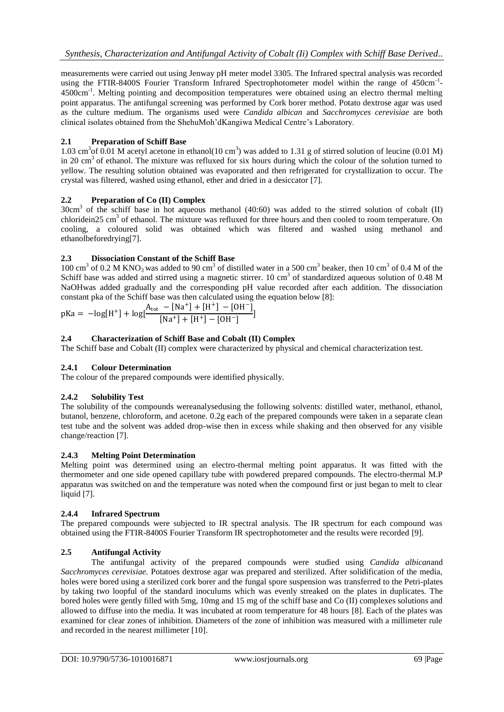measurements were carried out using Jenway pH meter model 3305. The Infrared spectral analysis was recorded using the FTIR-8400S Fourier Transform Infrared Spectrophotometer model within the range of 450cm<sup>-1</sup>-4500cm<sup>-1</sup>. Melting pointing and decomposition temperatures were obtained using an electro thermal melting point apparatus. The antifungal screening was performed by Cork borer method. Potato dextrose agar was used as the culture medium. The organisms used were *Candida albican* and *Sacchromyces cerevisiae* are both clinical isolates obtained from the ShehuMoh'dKangiwa Medical Centre's Laboratory.

# **2.1 Preparation of Schiff Base**

1.03 cm<sup>3</sup> of 0.01 M acetyl acetone in ethanol(10 cm<sup>3</sup>) was added to 1.31 g of stirred solution of leucine (0.01 M) in 20 cm<sup>3</sup> of ethanol. The mixture was refluxed for six hours during which the colour of the solution turned to yellow. The resulting solution obtained was evaporated and then refrigerated for crystallization to occur. The crystal was filtered, washed using ethanol, ether and dried in a desiccator [7].

# **2.2 Preparation of Co (II) Complex**

 $30 \text{cm}^3$  of the schiff base in hot aqueous methanol (40:60) was added to the stirred solution of cobalt (II) chloridein25 cm<sup>3</sup> of ethanol. The mixture was refluxed for three hours and then cooled to room temperature. On cooling, a coloured solid was obtained which was filtered and washed using methanol and ethanolbeforedrying[7].

# **2.3 Dissociation Constant of the Schiff Base**

100 cm<sup>3</sup> of 0.2 M KNO<sub>3</sub> was added to 90 cm<sup>3</sup> of distilled water in a 500 cm<sup>3</sup> beaker, then 10 cm<sup>3</sup> of 0.4 M of the Schiff base was added and stirred using a magnetic stirrer. 10 cm<sup>3</sup> of standardized aqueous solution of 0.48 M NaOHwas added gradually and the corresponding pH value recorded after each addition. The dissociation constant pka of the Schiff base was then calculated using the equation below [8]:

$$
pKa = -log[H^{+}] + log[\frac{A_{tot} - [Na^{+}] + [H^{+}] - [OH^{-}]}{[Na^{+}] + [H^{+}] - [OH^{-}]}]
$$

# **2.4 Characterization of Schiff Base and Cobalt (II) Complex**

The Schiff base and Cobalt (II) complex were characterized by physical and chemical characterization test.

# **2.4.1 Colour Determination**

The colour of the prepared compounds were identified physically.

## **2.4.2 Solubility Test**

The solubility of the compounds wereanalysedusing the following solvents: distilled water, methanol, ethanol, butanol, benzene, chloroform, and acetone. 0.2g each of the prepared compounds were taken in a separate clean test tube and the solvent was added drop-wise then in excess while shaking and then observed for any visible change/reaction [7].

## **2.4.3 Melting Point Determination**

Melting point was determined using an electro-thermal melting point apparatus. It was fitted with the thermometer and one side opened capillary tube with powdered prepared compounds. The electro-thermal M.P apparatus was switched on and the temperature was noted when the compound first or just began to melt to clear liquid [7].

## **2.4.4 Infrared Spectrum**

The prepared compounds were subjected to IR spectral analysis. The IR spectrum for each compound was obtained using the FTIR-8400S Fourier Transform IR spectrophotometer and the results were recorded [9].

## **2.5 Antifungal Activity**

The antifungal activity of the prepared compounds were studied using *Candida albican*and *Sacchromyces cerevisiae.* Potatoes dextrose agar was prepared and sterilized. After solidification of the media, holes were bored using a sterilized cork borer and the fungal spore suspension was transferred to the Petri-plates by taking two loopful of the standard inoculums which was evenly streaked on the plates in duplicates. The bored holes were gently filled with 5mg, 10mg and 15 mg of the schiff base and Co (II) complexes solutions and allowed to diffuse into the media. It was incubated at room temperature for 48 hours [8]. Each of the plates was examined for clear zones of inhibition. Diameters of the zone of inhibition was measured with a millimeter rule and recorded in the nearest millimeter [10].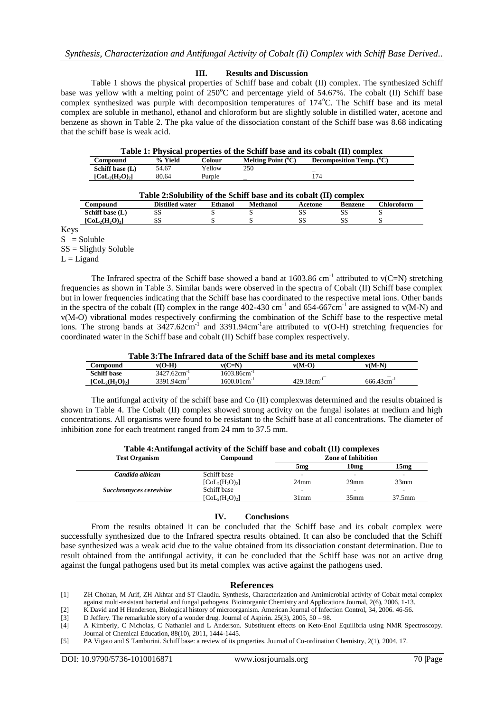#### **III. Results and Discussion**

Table 1 shows the physical properties of Schiff base and cobalt (II) complex. The synthesized Schiff base was yellow with a melting point of  $250^{\circ}$ C and percentage yield of 54.67%. The cobalt (II) Schiff base complex synthesized was purple with decomposition temperatures of 174°C. The Schiff base and its metal complex are soluble in methanol, ethanol and chloroform but are slightly soluble in distilled water, acetone and benzene as shown in Table 2. The pka value of the dissociation constant of the Schiff base was 8.68 indicating that the schiff base is weak acid.

| Melting Point $(^{\circ}C)$<br><b>Decomposition Temp.</b> (°C)<br>% Yield<br>Colour<br>Compound |  |
|-------------------------------------------------------------------------------------------------|--|
| 250<br>Schiff base (L)<br>Yellow<br>54.67                                                       |  |
| $[CoL2(H2O)2]$<br>174<br>80.64<br>Purple                                                        |  |

| Table 2: Solubility of the Schiff base and its cobalt (II) complex |                        |         |          |         |         |                   |
|--------------------------------------------------------------------|------------------------|---------|----------|---------|---------|-------------------|
| Compound                                                           | <b>Distilled water</b> | Ethanol | Methanol | Acetone | Benzene | <b>Chloroform</b> |
| Schiff base (L)                                                    |                        |         |          |         |         |                   |
| $\text{[Col}_{2}(\text{H}_{2}\text{O})_{2}$                        |                        |         |          |         |         |                   |

Keys

 $S =$  Soluble

 $SS = S$ lightly Soluble

 $L = Ligand$ 

The Infrared spectra of the Schiff base showed a band at 1603.86 cm<sup>-1</sup> attributed to  $v(C=N)$  stretching frequencies as shown in Table 3. Similar bands were observed in the spectra of Cobalt (II) Schiff base complex but in lower frequencies indicating that the Schiff base has coordinated to the respective metal ions. Other bands in the spectra of the cobalt (II) complex in the range  $402-430$  cm<sup>-1</sup> and  $654-667$ cm<sup>-1</sup> are assigned to v(M-N) and v(M-O) vibrational modes respectively confirming the combination of the Schiff base to the respective metal ions. The strong bands at  $3427.62 \text{cm}^{-1}$  and  $3391.94 \text{cm}^{-1}$  are attributed to v(O-H) stretching frequencies for coordinated water in the Schiff base and cobalt (II) Schiff base complex respectively.

|                                       | Table 3: The Infrared data of the Schiff base and its metal complexes |                  |                           |                 |  |  |
|---------------------------------------|-----------------------------------------------------------------------|------------------|---------------------------|-----------------|--|--|
| Compound                              | $v(O-H)$                                                              | $v(C=N)$         | $v(M-O)$                  | $v(M-N)$        |  |  |
| <b>Schiff base</b>                    | $3427.62$ cm <sup>-1</sup>                                            | $1603.86cm^{-1}$ |                           |                 |  |  |
| $\text{[CoL}_2(\text{H}_2\text{O})_2$ | $3391.94cm^{-1}$                                                      | $1600.01cm^{-1}$ | $429.18$ cm <sup>-1</sup> | $666.43cm^{-1}$ |  |  |

The antifungal activity of the schiff base and Co (II) complexwas determined and the results obtained is shown in Table 4. The Cobalt (II) complex showed strong activity on the fungal isolates at medium and high concentrations. All organisms were found to be resistant to the Schiff base at all concentrations. The diameter of inhibition zone for each treatment ranged from 24 mm to 37.5 mm.

| <b>Test Organism</b>    | <b>Compound</b>                                  | <b>Zone of Inhibition</b> |                  |           |  |
|-------------------------|--------------------------------------------------|---------------------------|------------------|-----------|--|
|                         |                                                  | 5 <sub>mg</sub>           | 10 <sub>mg</sub> | 15mg      |  |
| Candida albican         | Schiff base                                      |                           |                  |           |  |
|                         | $\lceil\text{CoL}_2(\text{H}_2\text{O})_2\rceil$ | 24 <sub>mm</sub>          | 29 <sub>mm</sub> | 33mm      |  |
| Sacchromyces cerevisiae | Schiff base                                      |                           |                  | ۰         |  |
|                         | $[Col2(H2O)2]$                                   | $31$ mm                   | 35 <sub>mm</sub> | $37.5$ mm |  |

## **IV. Conclusions**

From the results obtained it can be concluded that the Schiff base and its cobalt complex were successfully synthesized due to the Infrared spectra results obtained. It can also be concluded that the Schiff base synthesized was a weak acid due to the value obtained from its dissociation constant determination. Due to result obtained from the antifungal activity, it can be concluded that the Schiff base was not an active drug against the fungal pathogens used but its metal complex was active against the pathogens used.

#### **References**

- [1] ZH Chohan, M Arif, ZH Akhtar and ST Claudiu. Synthesis, Characterization and Antimicrobial activity of Cobalt metal complex against multi-resistant bacterial and fungal pathogens. Bioinorganic Chemistry and Applications Journal, 2(6), 2006, 1-13.
- [2] K David and H Henderson, Biological history of microorganism. American Journal of Infection Control, 34, 2006. 46-56.
- [3] D Jeffery. The remarkable story of a wonder drug. Journal of Aspirin. 25(3), 2005, 50 98.
- [4] A Kimberly, C Nicholas, C Nathaniel and L Anderson. Substituent effects on Keto-Enol Equilibria using NMR Spectroscopy. Journal of Chemical Education, 88(10), 2011, 1444-1445.
- [5] PA Vigato and S Tamburini. Schiff base: a review of its properties. Journal of Co-ordination Chemistry, 2(1), 2004, 17.